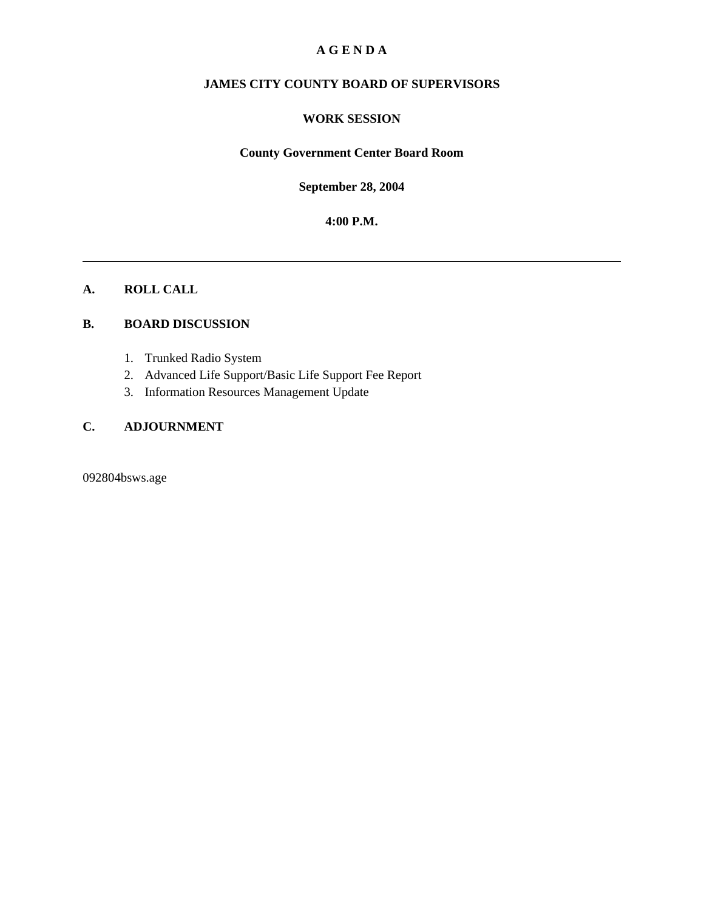#### **A G E N D A**

## **JAMES CITY COUNTY BOARD OF SUPERVISORS**

#### **WORK SESSION**

#### **County Government Center Board Room**

**September 28, 2004**

**4:00 P.M.**

#### **A. ROLL CALL**

#### **B. BOARD DISCUSSION**

- 1. Trunked Radio System
- 2. Advanced Life Support/Basic Life Support Fee Report
- 3. Information Resources Management Update

## **C. ADJOURNMENT**

092804bsws.age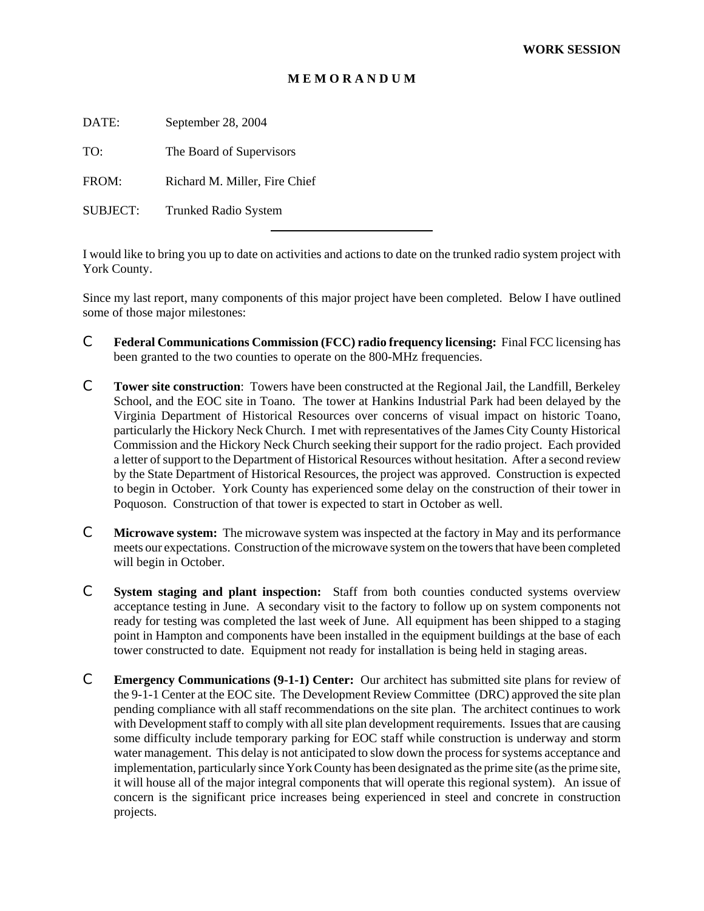#### **M E M O R A N D U M**

DATE: September 28, 2004

TO: The Board of Supervisors

FROM: Richard M. Miller, Fire Chief

l

SUBJECT: Trunked Radio System

I would like to bring you up to date on activities and actions to date on the trunked radio system project with York County.

Since my last report, many components of this major project have been completed. Below I have outlined some of those major milestones:

- C **Federal Communications Commission (FCC) radio frequency licensing:** Final FCC licensing has been granted to the two counties to operate on the 800-MHz frequencies.
- C **Tower site construction**: Towers have been constructed at the Regional Jail, the Landfill, Berkeley School, and the EOC site in Toano. The tower at Hankins Industrial Park had been delayed by the Virginia Department of Historical Resources over concerns of visual impact on historic Toano, particularly the Hickory Neck Church. I met with representatives of the James City County Historical Commission and the Hickory Neck Church seeking their support for the radio project. Each provided a letter of support to the Department of Historical Resources without hesitation. After a second review by the State Department of Historical Resources, the project was approved. Construction is expected to begin in October. York County has experienced some delay on the construction of their tower in Poquoson. Construction of that tower is expected to start in October as well.
- C **Microwave system:** The microwave system was inspected at the factory in May and its performance meets our expectations. Construction of the microwave system on the towers that have been completed will begin in October.
- C **System staging and plant inspection:** Staff from both counties conducted systems overview acceptance testing in June. A secondary visit to the factory to follow up on system components not ready for testing was completed the last week of June. All equipment has been shipped to a staging point in Hampton and components have been installed in the equipment buildings at the base of each tower constructed to date. Equipment not ready for installation is being held in staging areas.
- C **Emergency Communications (9-1-1) Center:** Our architect has submitted site plans for review of the 9-1-1 Center at the EOC site. The Development Review Committee (DRC) approved the site plan pending compliance with all staff recommendations on the site plan. The architect continues to work with Development staff to comply with all site plan development requirements. Issues that are causing some difficulty include temporary parking for EOC staff while construction is underway and storm water management. This delay is not anticipated to slow down the process for systems acceptance and implementation, particularly since York County has been designated as the prime site (as the prime site, it will house all of the major integral components that will operate this regional system). An issue of concern is the significant price increases being experienced in steel and concrete in construction projects.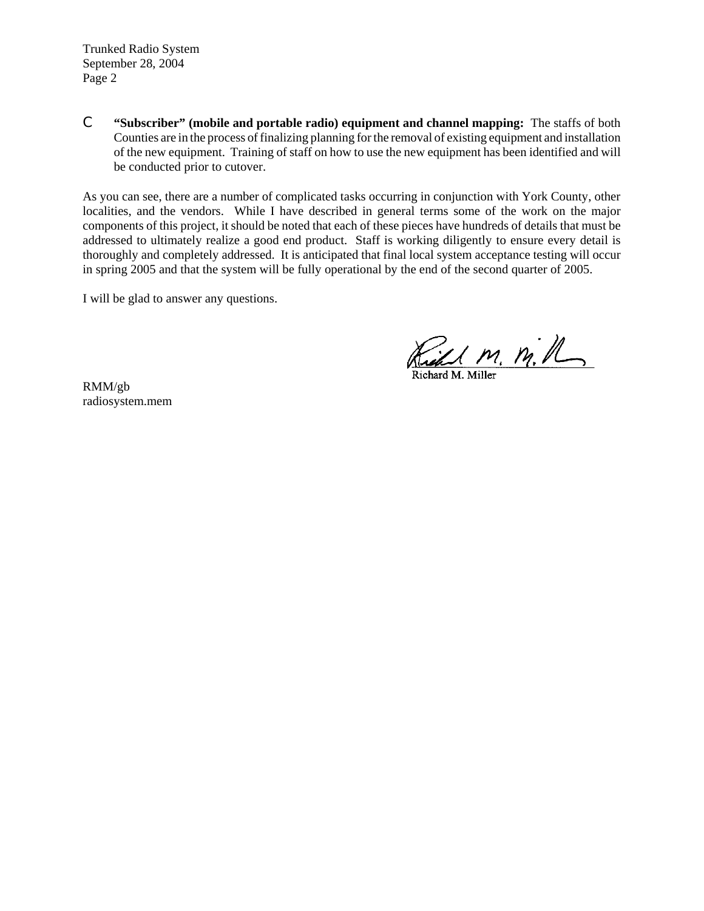Trunked Radio System September 28, 2004 Page 2

C **"Subscriber" (mobile and portable radio) equipment and channel mapping:** The staffs of both Counties are in the process of finalizing planning for the removal of existing equipment and installation of the new equipment. Training of staff on how to use the new equipment has been identified and will be conducted prior to cutover.

As you can see, there are a number of complicated tasks occurring in conjunction with York County, other localities, and the vendors. While I have described in general terms some of the work on the major components of this project, it should be noted that each of these pieces have hundreds of details that must be addressed to ultimately realize a good end product. Staff is working diligently to ensure every detail is thoroughly and completely addressed. It is anticipated that final local system acceptance testing will occur in spring 2005 and that the system will be fully operational by the end of the second quarter of 2005.

I will be glad to answer any questions.

Ried M. M. R.

RMM/gb radiosystem.mem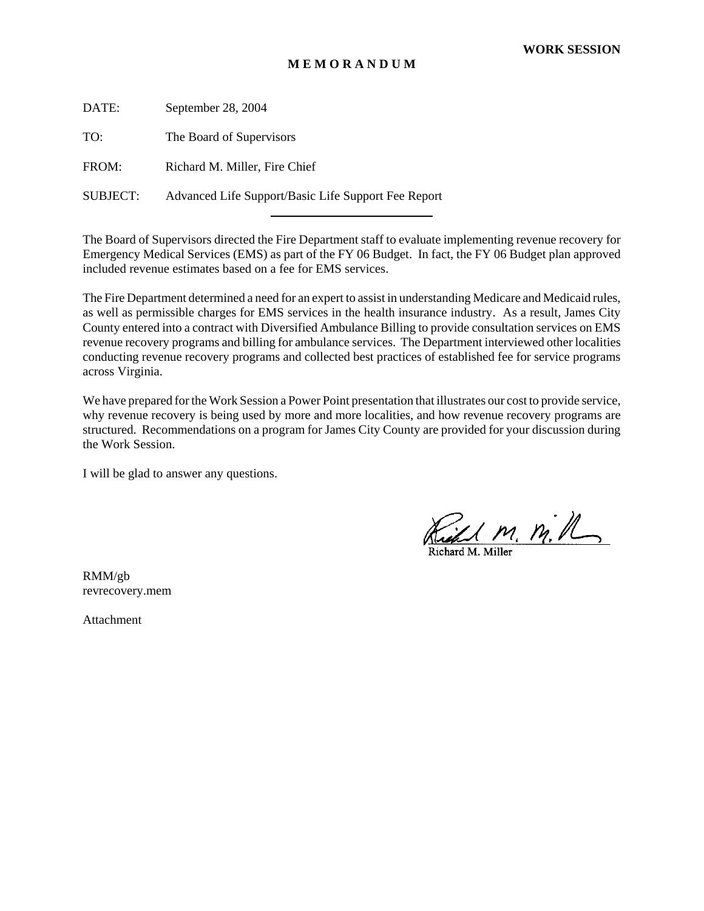#### **M E M O R A N D U M**

DATE: September 28, 2004 TO: The Board of Supervisors FROM: Richard M. Miller, Fire Chief SUBJECT: Advanced Life Support/Basic Life Support Fee Report

l

The Board of Supervisors directed the Fire Department staff to evaluate implementing revenue recovery for Emergency Medical Services (EMS) as part of the FY 06 Budget. In fact, the FY 06 Budget plan approved included revenue estimates based on a fee for EMS services.

The Fire Department determined a need for an expert to assist in understanding Medicare and Medicaid rules, as well as permissible charges for EMS services in the health insurance industry. As a result, James City County entered into a contract with Diversified Ambulance Billing to provide consultation services on EMS revenue recovery programs and billing for ambulance services. The Department interviewed other localities conducting revenue recovery programs and collected best practices of established fee for service programs across Virginia.

We have prepared for the Work Session a Power Point presentation that illustrates our cost to provide service, why revenue recovery is being used by more and more localities, and how revenue recovery programs are structured. Recommendations on a program for James City County are provided for your discussion during the Work Session.

I will be glad to answer any questions.

Richt M. M.M

RMM/gb revrecovery.mem

Attachment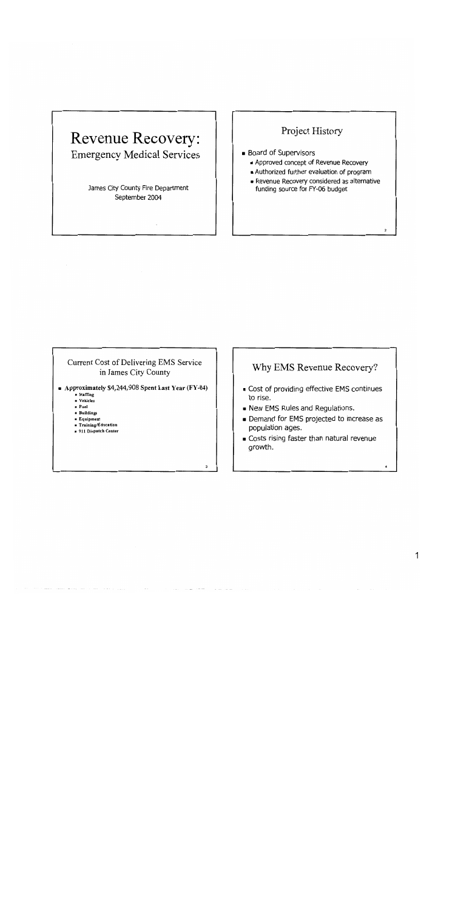# Revenue Recovery: **Emergency Medical Services**

James City County Fire Department September 2004

## Project History

- **Board of Supervisors** 
	- Approved concept of Revenue Recovery
	- Authorized further evaluation of program
	- Revenue Recovery considered as alternative funding source for FY-06 budget

 $\overline{ }$ 

#### Current Cost of Delivering EMS Service in James City County

- Approximately \$4,244,908 Spent Last Year ( $FY-04$ )
	- -<br>■ Staffing - Vehicles
	- $=$  Fuel
	- Buildings
	- Equipment
	- Training/Education
	- 911 Dispatch Center

## Why EMS Revenue Recovery?

- Cost of providing effective EMS continues to rise.
- New EMS Rules and Regulations.
- Demand for EMS projected to increase as population ages.
- Costs rising faster than natural revenue growth.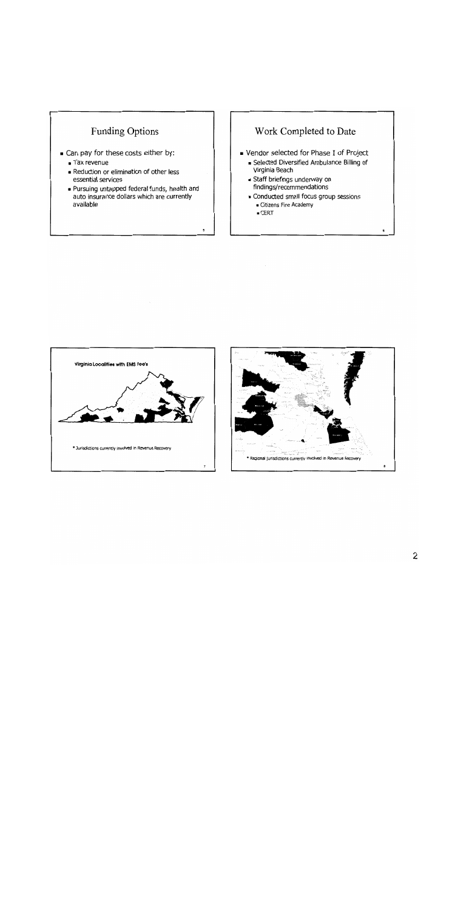



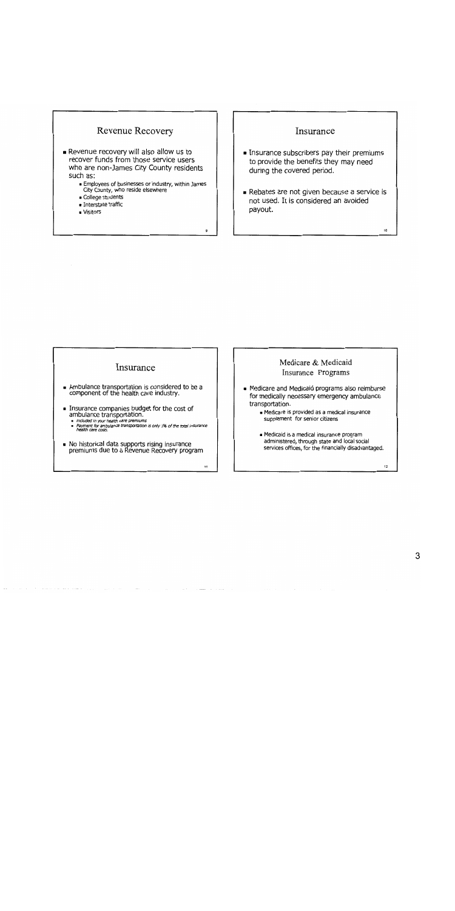

#### Insurance

- Insurance subscribers pay their premiums to provide the benefits they may need during the covered period.
- Rebates are not given because a service is not used. It is considered an avoided payout.

#### Insurance

- Ambulance transportation is considered to be a component of the health care industry.
- Insurance companies budget for the cost of ambulance transportation.
	- accomparative and in political different in a set of the total insurance<br>By Payment for ambulance transportation is only 1% of the total insurance<br>Bealth care costs.

 $\overline{\mathbf{H}}$ 

• No historical data supports rising insurance<br>premiums due to a Revenue Recovery program

#### Medicare & Medicaid Insurance Programs

- Medicare and Medicaid programs also reimburse for medically necessary emergency ambulance transportation.
	- Medicare is provided as a medical insurance supplement for senior citizens
	- Medicaid is a medical insurance program administered, through state and local social services offices, for the financially disadvantaged.

 $12$ 

 $10<sub>o</sub>$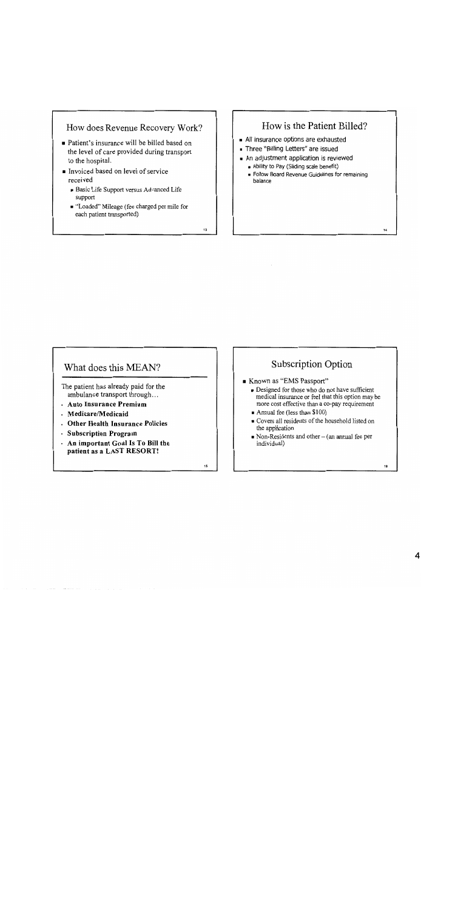#### How does Revenue Recovery Work?

- Patient's insurance will be billed based on the level of care provided during transport to the hospital.
- Invoiced based on level of service received
	- Basic Life Support versus Advanced Life support
	- "Loaded" Mileage (fee charged per mile for each patient transported)

 $13$ 

## How is the Patient Billed?

- All insurance options are exhausted
- Three "Billing Letters" are issued
- An adjustment application is reviewed
	- Ability to Pay (Sliding scale benefit)
	- Follow Board Revenue Guidelines for remaining balance

#### What does this MEAN?

The patient has already paid for the ambulance transport through...

- . Auto Insurance Premium
- · Medicare/Medicaid
- . Other Health Insurance Policies
- · Subscription Program
- An important Goal Is To Bill the patient as a LAST RESORT!

 $15$ 

## Subscription Option

- Known as "EMS Passport"
	- Designed for those who do not have sufficient medical insurance or feel that this option may be more cost effective than a co-pay requirement
	- $\blacksquare$  Annual fee (less than \$100)
	- Covers all residents of the household listed on the application
	- $\bullet$  Non-Residents and other (an annual fee per individual)

16

 $\overline{14}$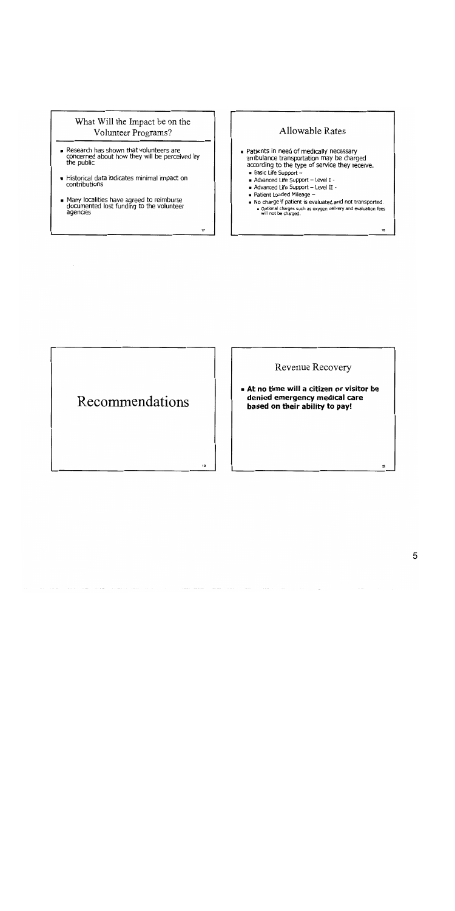### What Will the Impact be on the Volunteer Programs?

- Research has shown that volunteers are<br>concerned about how they will be perceived by<br>the public
- Historical data indicates minimal impact on contributions
- Many localities have agreed to reimburse<br>documented lost funding to the volunteer agencies

# **Allowable Rates**

- Patients in need of medically necessary ambulance transportation may be charged according to the type of service they receive.
	- Basic Life Support  $-$

 $17$ 

19

- Advanced Life Support Level I -
- Advanced Life Support Level II -
- Patient Loaded Mileage -
- . No charge if patient is evaluated and not transported. - Optional charges such as oxygen delivery and evaluation fees<br>- Optional charges such as oxygen delivery and evaluation fees<br>- Will not be charged.

18

Recommendations

Revenue Recovery

At no time will a citizen or visitor be denied emergency medical care based on their ability to pay!

20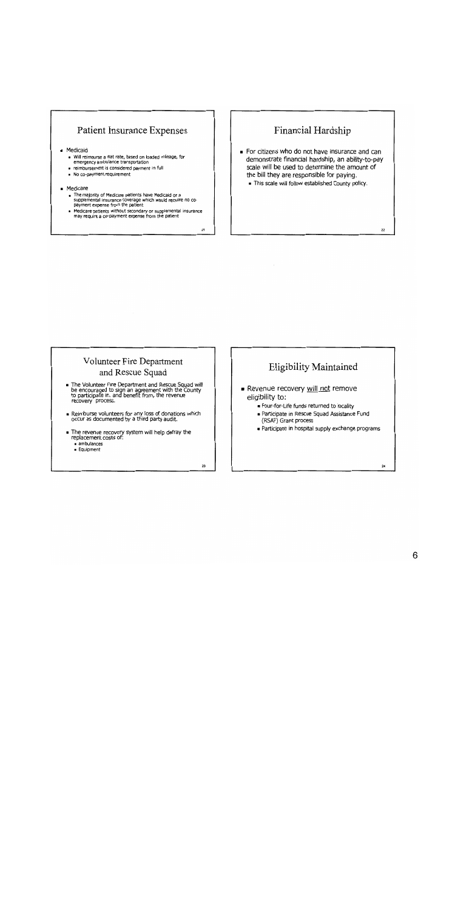## **Patient Insurance Expenses**

#### **Medicaid**

- Will reimburse a flat rate, based on loaded mileage, for<br>emergency ambulance transportation
- e reimbursement is considered payment in full
- No co-payment requirement
- 

#### · Medicare

- The majority of Medicare patients have Medicaid or a supplemental insurance coverage which would require no co-<br>payment expense from the patient
- Primary conduct the secondary or supplemental insurance<br>and require a co-payment expense from the patient

 $21$ 

## Financial Hardship

- For citizens who do not have insurance and can demonstrate financial hardship, an ability-to-pay scale will be used to determine the amount of the bill they are responsible for paying.
	- . This scale will follow established County policy.

#### Volunteer Fire Department and Rescue Squad

- The Volunteer Fire Department and Rescue Squad will<br>be encouraged to sign an agreement with the County<br>to participate in, and benefit from, the revenue<br>recovery process.
- Reimburse volunteers for any loss of donations which occur as documented by a third party audit.
- The revenue recovery system will help defray the<br>replacement costs of:  $a$  ambulances
	- $E$ Guioment

 $23$ 

## **Eligibility Maintained**

- Revenue recovery will not remove eligibility to:
	- Four-for-Life funds returned to locality
	- Participate in Rescue Squad Assistance Fund (RSAF) Grant process
	- Participate in hospital supply exchange programs

 $22$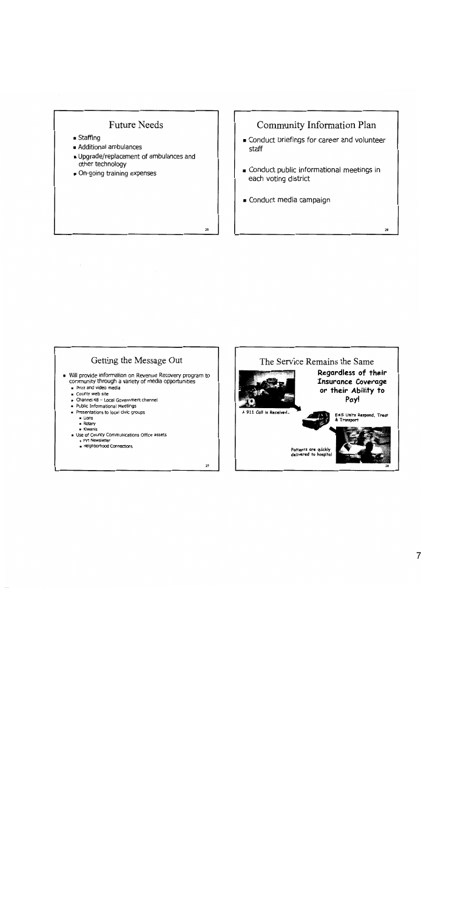

- $S<sub>ta</sub>ffing$
- Additional ambulances
- Dpgrade/replacement of ambulances and other technology
- On-going training expenses

## Community Information Plan

- Conduct briefings for career and volunteer staff
- Conduct public informational meetings in each voting district

26

Conduct media campaign

## Getting the Message Out

- . Will provide information on Revenue Recovery program to community through a variety of media opportunities
	- Print and video media
	- County web site
	- Channel 48 Local Government channel
	- . Public Informational Meetings
	- Presentations to local civic groups
		- $Lions$
		- $\blacksquare$  Rotary
		- « Kiwanis
	- Use of County Communications Office assets
		- FYI Newsletter<br>■ Neighborhood Connections

 $27$ 

 $25$ 

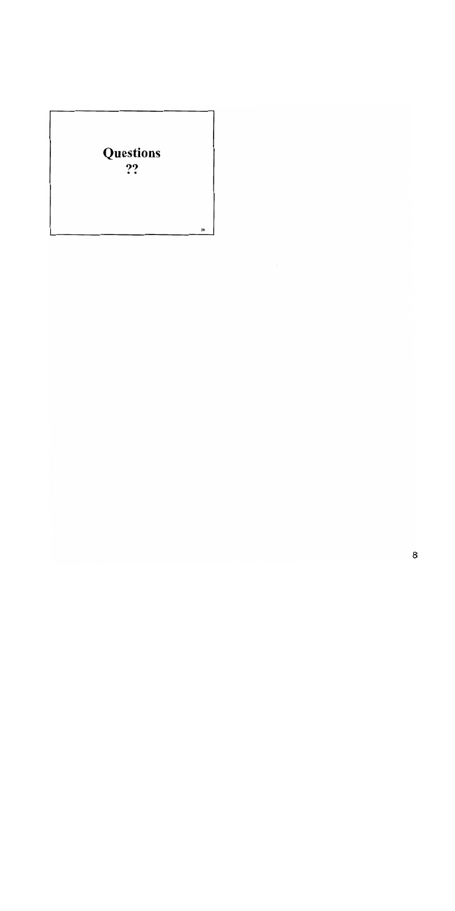